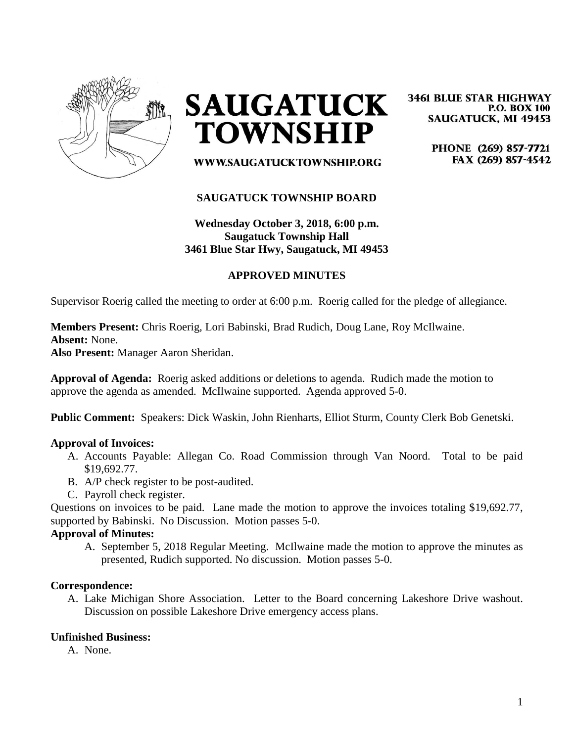

**SAUGATUCK TOWNSHIP** 

**3461 BLUE STAR HIGHWAY P.O. BOX 100 SAUGATUCK, MI 49453** 

> PHONE (269) 857-7721 FAX (269) 857-4542

# **SAUGATUCK TOWNSHIP BOARD**

WWW.SAUGATUCKTOWNSHIP.ORG

# **Wednesday October 3, 2018, 6:00 p.m. Saugatuck Township Hall 3461 Blue Star Hwy, Saugatuck, MI 49453**

# **APPROVED MINUTES**

Supervisor Roerig called the meeting to order at 6:00 p.m. Roerig called for the pledge of allegiance.

**Members Present:** Chris Roerig, Lori Babinski, Brad Rudich, Doug Lane, Roy McIlwaine.

**Absent:** None.

**Also Present:** Manager Aaron Sheridan.

**Approval of Agenda:** Roerig asked additions or deletions to agenda. Rudich made the motion to approve the agenda as amended. McIlwaine supported. Agenda approved 5-0.

**Public Comment:** Speakers: Dick Waskin, John Rienharts, Elliot Sturm, County Clerk Bob Genetski.

## **Approval of Invoices:**

- A. Accounts Payable: Allegan Co. Road Commission through Van Noord. Total to be paid \$19,692.77.
- B. A/P check register to be post-audited.
- C. Payroll check register.

Questions on invoices to be paid. Lane made the motion to approve the invoices totaling \$19,692.77, supported by Babinski. No Discussion. Motion passes 5-0.

#### **Approval of Minutes:**

A. September 5, 2018 Regular Meeting. McIlwaine made the motion to approve the minutes as presented, Rudich supported. No discussion. Motion passes 5-0.

#### **Correspondence:**

A. Lake Michigan Shore Association. Letter to the Board concerning Lakeshore Drive washout. Discussion on possible Lakeshore Drive emergency access plans.

# **Unfinished Business:**

A. None.